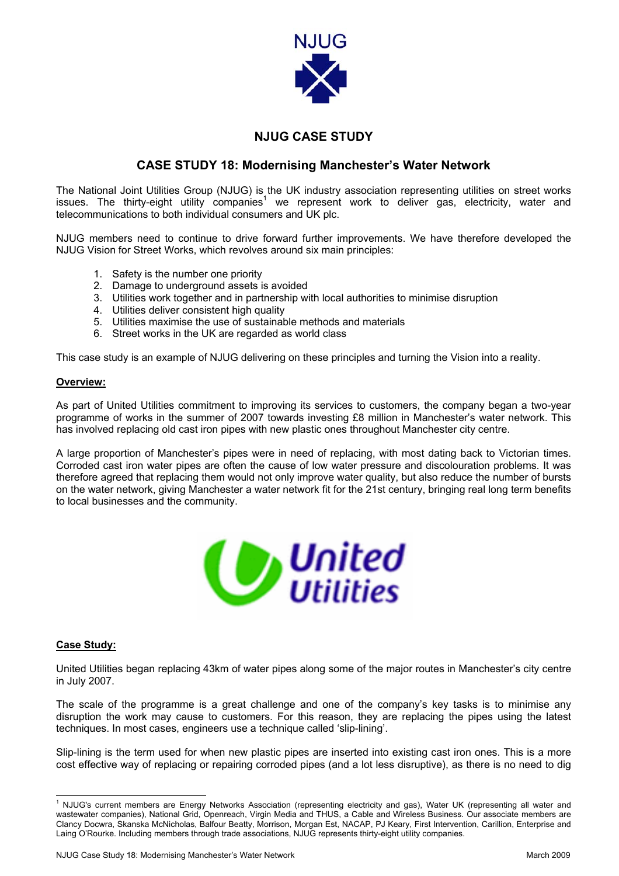

## **NJUG CASE STUDY**

## **CASE STUDY 18: Modernising Manchester's Water Network**

The National Joint Utilities Group (NJUG) is the UK industry association representing utilities on street works issues.The thirty-eight utility companies<sup>1</sup> we represent work to deliver gas, electricity, water and telecommunications to both individual consumers and UK plc.

NJUG members need to continue to drive forward further improvements. We have therefore developed the NJUG Vision for Street Works, which revolves around six main principles:

- 1. Safety is the number one priority
- 2. Damage to underground assets is avoided
- 3. Utilities work together and in partnership with local authorities to minimise disruption
- 4. Utilities deliver consistent high quality
- 5. Utilities maximise the use of sustainable methods and materials
- 6. Street works in the UK are regarded as world class

This case study is an example of NJUG delivering on these principles and turning the Vision into a reality.

## **Overview:**

As part of United Utilities commitment to improving its services to customers, the company began a two-year programme of works in the summer of 2007 towards investing £8 million in Manchester's water network. This has involved replacing old cast iron pipes with new plastic ones throughout Manchester city centre.

A large proportion of Manchester's pipes were in need of replacing, with most dating back to Victorian times. Corroded cast iron water pipes are often the cause of low water pressure and discolouration problems. It was therefore agreed that replacing them would not only improve water quality, but also reduce the number of bursts on the water network, giving Manchester a water network fit for the 21st century, bringing real long term benefits to local businesses and the community.



## **Case Study:**

United Utilities began replacing 43km of water pipes along some of the major routes in Manchester's city centre in July 2007.

The scale of the programme is a great challenge and one of the company's key tasks is to minimise any disruption the work may cause to customers. For this reason, they are replacing the pipes using the latest techniques. In most cases, engineers use a technique called 'slip-lining'.

Slip-lining is the term used for when new plastic pipes are inserted into existing cast iron ones. This is a more cost effective way of replacing or repairing corroded pipes (and a lot less disruptive), as there is no need to dig

<span id="page-0-0"></span> $\frac{1}{1}$ <sup>1</sup> NJUG's current members are Energy Networks Association (representing electricity and gas), Water UK (representing all water and wastewater companies), National Grid, Openreach, Virgin Media and THUS, a Cable and Wireless Business. Our associate members are Clancy Docwra, Skanska McNicholas, Balfour Beatty, Morrison, Morgan Est, NACAP, PJ Keary, First Intervention, Carillion, Enterprise and Laing O'Rourke. Including members through trade associations, NJUG represents thirty-eight utility companies.

NJUG Case Study 18: Modernising Manchester's Water Network March 2009 and The Case Study 18: March 2009